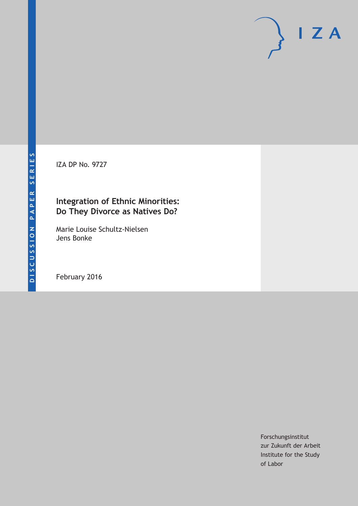IZA DP No. 9727

## **Integration of Ethnic Minorities: Do They Divorce as Natives Do?**

Marie Louise Schultz‐Nielsen Jens Bonke

February 2016

Forschungsinstitut zur Zukunft der Arbeit Institute for the Study of Labor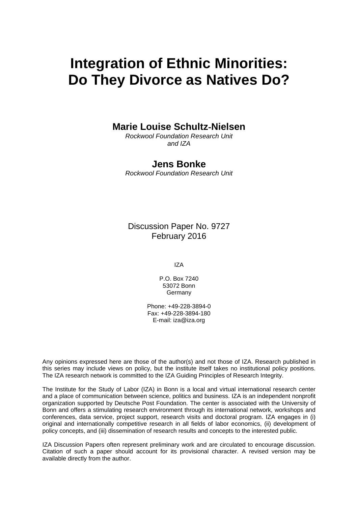# **Integration of Ethnic Minorities: Do They Divorce as Natives Do?**

### **Marie Louise Schultz**‐**Nielsen**

*Rockwool Foundation Research Unit and IZA* 

### **Jens Bonke**

*Rockwool Foundation Research Unit* 

Discussion Paper No. 9727 February 2016

IZA

P.O. Box 7240 53072 Bonn **Germany** 

Phone: +49-228-3894-0 Fax: +49-228-3894-180 E-mail: iza@iza.org

Any opinions expressed here are those of the author(s) and not those of IZA. Research published in this series may include views on policy, but the institute itself takes no institutional policy positions. The IZA research network is committed to the IZA Guiding Principles of Research Integrity.

The Institute for the Study of Labor (IZA) in Bonn is a local and virtual international research center and a place of communication between science, politics and business. IZA is an independent nonprofit organization supported by Deutsche Post Foundation. The center is associated with the University of Bonn and offers a stimulating research environment through its international network, workshops and conferences, data service, project support, research visits and doctoral program. IZA engages in (i) original and internationally competitive research in all fields of labor economics, (ii) development of policy concepts, and (iii) dissemination of research results and concepts to the interested public.

IZA Discussion Papers often represent preliminary work and are circulated to encourage discussion. Citation of such a paper should account for its provisional character. A revised version may be available directly from the author.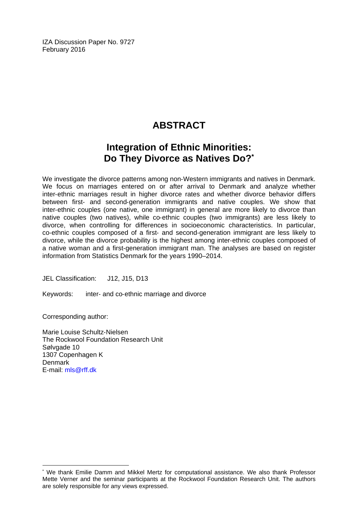IZA Discussion Paper No. 9727 February 2016

# **ABSTRACT**

# **Integration of Ethnic Minorities: Do They Divorce as Natives Do?\***

We investigate the divorce patterns among non‐Western immigrants and natives in Denmark. We focus on marriages entered on or after arrival to Denmark and analyze whether inter‐ethnic marriages result in higher divorce rates and whether divorce behavior differs between first- and second-generation immigrants and native couples. We show that inter-ethnic couples (one native, one immigrant) in general are more likely to divorce than native couples (two natives), while co-ethnic couples (two immigrants) are less likely to divorce, when controlling for differences in socioeconomic characteristics. In particular, co‐ethnic couples composed of a first‐ and second‐generation immigrant are less likely to divorce, while the divorce probability is the highest among inter‐ethnic couples composed of a native woman and a first-generation immigrant man. The analyses are based on register information from Statistics Denmark for the years 1990–2014.

JEL Classification: J12, J15, D13

Keywords: inter‐ and co‐ethnic marriage and divorce

Corresponding author:

 $\overline{\phantom{a}}$ 

Marie Louise Schultz‐Nielsen The Rockwool Foundation Research Unit Sølvgade 10 1307 Copenhagen K Denmark E-mail: mls@rff.dk

<sup>\*</sup> We thank Emilie Damm and Mikkel Mertz for computational assistance. We also thank Professor Mette Verner and the seminar participants at the Rockwool Foundation Research Unit. The authors are solely responsible for any views expressed.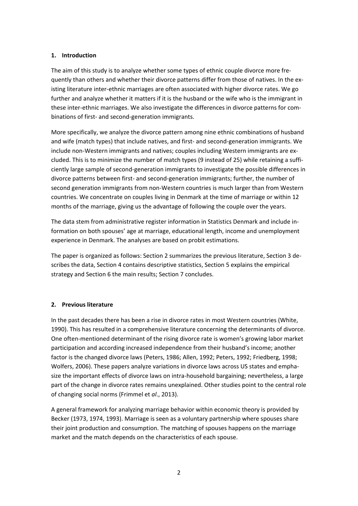#### **1. Introduction**

The aim of this study is to analyze whether some types of ethnic couple divorce more fre‐ quently than others and whether their divorce patterns differ from those of natives. In the ex‐ isting literature inter‐ethnic marriages are often associated with higher divorce rates. We go further and analyze whether it matters if it is the husband or the wife who is the immigrant in these inter-ethnic marriages. We also investigate the differences in divorce patterns for combinations of first‐ and second‐generation immigrants.

More specifically, we analyze the divorce pattern among nine ethnic combinations of husband and wife (match types) that include natives, and first- and second-generation immigrants. We include non-Western immigrants and natives; couples including Western immigrants are excluded. This is to minimize the number of match types (9 instead of 25) while retaining a suffi‐ ciently large sample of second‐generation immigrants to investigate the possible differences in divorce patterns between first‐ and second‐generation immigrants; further, the number of second generation immigrants from non‐Western countries is much larger than from Western countries. We concentrate on couples living in Denmark at the time of marriage or within 12 months of the marriage, giving us the advantage of following the couple over the years.

The data stem from administrative register information in Statistics Denmark and include in‐ formation on both spouses' age at marriage, educational length, income and unemployment experience in Denmark. The analyses are based on probit estimations.

The paper is organized as follows: Section 2 summarizes the previous literature, Section 3 de‐ scribes the data, Section 4 contains descriptive statistics, Section 5 explains the empirical strategy and Section 6 the main results; Section 7 concludes.

#### **2. Previous literature**

In the past decades there has been a rise in divorce rates in most Western countries (White, 1990). This has resulted in a comprehensive literature concerning the determinants of divorce. One often‐mentioned determinant of the rising divorce rate is women's growing labor market participation and according increased independence from their husband's income; another factor is the changed divorce laws (Peters, 1986; Allen, 1992; Peters, 1992; Friedberg, 1998; Wolfers, 2006). These papers analyze variations in divorce laws across US states and empha‐ size the important effects of divorce laws on intra‐household bargaining; nevertheless, a large part of the change in divorce rates remains unexplained. Other studies point to the central role of changing social norms (Frimmel et *al*., 2013).

A general framework for analyzing marriage behavior within economic theory is provided by Becker (1973, 1974, 1993). Marriage is seen as a voluntary partnership where spouses share their joint production and consumption. The matching of spouses happens on the marriage market and the match depends on the characteristics of each spouse.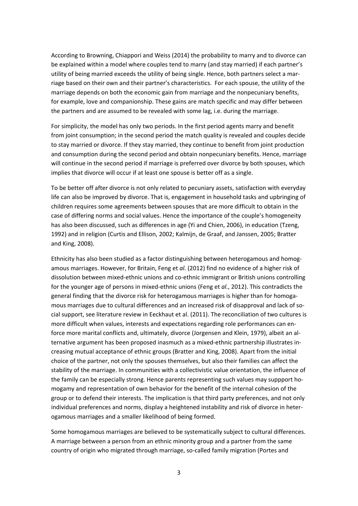According to Browning, Chiappori and Weiss (2014) the probability to marry and to divorce can be explained within a model where couples tend to marry (and stay married) if each partner's utility of being married exceeds the utility of being single. Hence, both partners select a mar‐ riage based on their own and their partner's characteristics. For each spouse, the utility of the marriage depends on both the economic gain from marriage and the nonpecuniary benefits, for example, love and companionship. These gains are match specific and may differ between the partners and are assumed to be revealed with some lag, i.e. during the marriage.

For simplicity, the model has only two periods. In the first period agents marry and benefit from joint consumption; in the second period the match quality is revealed and couples decide to stay married or divorce. If they stay married, they continue to benefit from joint production and consumption during the second period and obtain nonpecuniary benefits. Hence, marriage will continue in the second period if marriage is preferred over divorce by both spouses, which implies that divorce will occur if at least one spouse is better off as a single.

To be better off after divorce is not only related to pecuniary assets, satisfaction with everyday life can also be improved by divorce. That is, engagement in household tasks and upbringing of children requires some agreements between spouses that are more difficult to obtain in the case of differing norms and social values. Hence the importance of the couple's homogeneity has also been discussed, such as differences in age (Yi and Chien, 2006), in education (Tzeng, 1992) and in religion (Curtis and Ellison, 2002; Kalmijn, de Graaf, and Janssen, 2005; Bratter and King, 2008).

Ethnicity has also been studied as a factor distinguishing between heterogamous and homog‐ amous marriages. However, for Britain, Feng et *al.* (2012) find no evidence of a higher risk of dissolution between mixed‐ethnic unions and co‐ethnic immigrant or British unions controlling for the younger age of persons in mixed‐ethnic unions (Feng et *al.*, 2012). This contradicts the general finding that the divorce risk for heterogamous marriages is higher than for homogamous marriages due to cultural differences and an increased risk of disapproval and lack of so‐ cial support, see literature review in Eeckhaut et al. (2011). The reconciliation of two cultures is more difficult when values, interests and expectations regarding role performances can en‐ force more marital conflicts and, ultimately, divorce (Jorgensen and Klein, 1979), albeit an al‐ ternative argument has been proposed inasmuch as a mixed‐ethnic partnership illustrates in‐ creasing mutual acceptance of ethnic groups (Bratter and King, 2008). Apart from the initial choice of the partner, not only the spouses themselves, but also their families can affect the stability of the marriage. In communities with a collectivistic value orientation, the influence of the family can be especially strong. Hence parents representing such values may suppport ho‐ mogamy and representation of own behavior for the benefit of the internal cohesion of the group or to defend their interests. The implication is that third party preferences, and not only individual preferences and norms, display a heightened instability and risk of divorce in heter‐ ogamous marriages and a smaller likelihood of being formed.

Some homogamous marriages are believed to be systematically subject to cultural differences. A marriage between a person from an ethnic minority group and a partner from the same country of origin who migrated through marriage, so‐called family migration (Portes and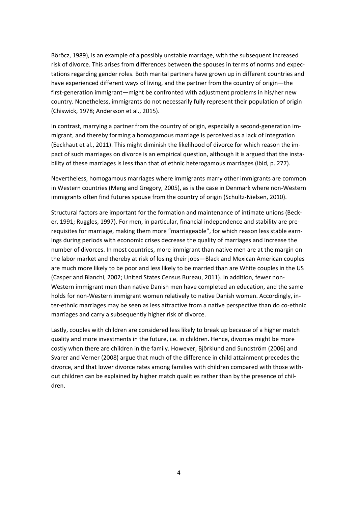Böröcz, 1989), is an example of a possibly unstable marriage, with the subsequent increased risk of divorce. This arises from differences between the spouses in terms of norms and expec‐ tations regarding gender roles. Both marital partners have grown up in different countries and have experienced different ways of living, and the partner from the country of origin—the first-generation immigrant—might be confronted with adjustment problems in his/her new country. Nonetheless, immigrants do not necessarily fully represent their population of origin (Chiswick, 1978; Andersson et al., 2015).

In contrast, marrying a partner from the country of origin, especially a second-generation immigrant, and thereby forming a homogamous marriage is perceived as a lack of integration (Eeckhaut et al., 2011). This might diminish the likelihood of divorce for which reason the im‐ pact of such marriages on divorce is an empirical question, although it is argued that the instability of these marriages is less than that of ethnic heterogamous marriages (ibid, p. 277).

Nevertheless, homogamous marriages where immigrants marry other immigrants are common in Western countries (Meng and Gregory, 2005), as is the case in Denmark where non‐Western immigrants often find futures spouse from the country of origin (Schultz-Nielsen, 2010).

Structural factors are important for the formation and maintenance of intimate unions (Beck‐ er, 1991; Ruggles, 1997). For men, in particular, financial independence and stability are pre‐ requisites for marriage, making them more "marriageable", for which reason less stable earn‐ ings during periods with economic crises decrease the quality of marriages and increase the number of divorces. In most countries, more immigrant than native men are at the margin on the labor market and thereby at risk of losing their jobs—Black and Mexican American couples are much more likely to be poor and less likely to be married than are White couples in the US (Casper and Bianchi, 2002; United States Census Bureau, 2011). In addition, fewer non‐ Western immigrant men than native Danish men have completed an education, and the same holds for non‐Western immigrant women relatively to native Danish women. Accordingly, in‐ ter-ethnic marriages may be seen as less attractive from a native perspective than do co-ethnic marriages and carry a subsequently higher risk of divorce.

Lastly, couples with children are considered less likely to break up because of a higher match quality and more investments in the future, i.e. in children. Hence, divorces might be more costly when there are children in the family. However, Björklund and Sundström (2006) and Svarer and Verner (2008) argue that much of the difference in child attainment precedes the divorce, and that lower divorce rates among families with children compared with those with‐ out children can be explained by higher match qualities rather than by the presence of children.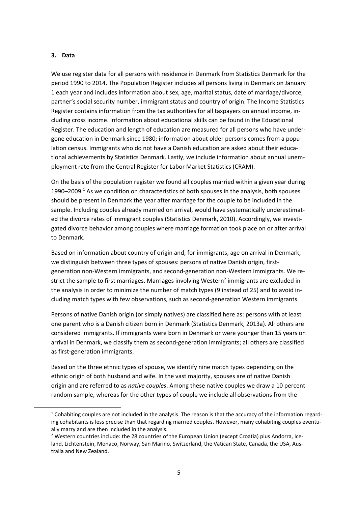#### **3. Data**

We use register data for all persons with residence in Denmark from Statistics Denmark for the period 1990 to 2014. The Population Register includes all persons living in Denmark on January 1 each year and includes information about sex, age, marital status, date of marriage/divorce, partner's social security number, immigrant status and country of origin. The Income Statistics Register contains information from the tax authorities for all taxpayers on annual income, in‐ cluding cross income. Information about educational skills can be found in the Educational Register. The education and length of education are measured for all persons who have under‐ gone education in Denmark since 1980; information about older persons comes from a population census. Immigrants who do not have a Danish education are asked about their educational achievements by Statistics Denmark. Lastly, we include information about annual unem‐ ployment rate from the Central Register for Labor Market Statistics (CRAM).

On the basis of the population register we found all couples married within a given year during 1990–2009.<sup>1</sup> As we condition on characteristics of both spouses in the analysis, both spouses should be present in Denmark the year after marriage for the couple to be included in the sample. Including couples already married on arrival, would have systematically underestimated the divorce rates of immigrant couples (Statistics Denmark, 2010). Accordingly, we investigated divorce behavior among couples where marriage formation took place on or after arrival to Denmark.

Based on information about country of origin and, for immigrants, age on arrival in Denmark, we distinguish between three types of spouses: persons of native Danish origin, firstgeneration non‐Western immigrants, and second‐generation non‐Western immigrants. We re‐ strict the sample to first marriages. Marriages involving Western<sup>2</sup> immigrants are excluded in the analysis in order to minimize the number of match types (9 instead of 25) and to avoid in‐ cluding match types with few observations, such as second‐generation Western immigrants.

Persons of native Danish origin (or simply natives) are classified here as: persons with at least one parent who is a Danish citizen born in Denmark (Statistics Denmark, 2013a). All others are considered immigrants. If immigrants were born in Denmark or were younger than 15 years on arrival in Denmark, we classify them as second-generation immigrants; all others are classified as first‐generation immigrants.

Based on the three ethnic types of spouse, we identify nine match types depending on the ethnic origin of both husband and wife. In the vast majority, spouses are of native Danish origin and are referred to as *native couples*. Among these native couples we draw a 10 percent random sample, whereas for the other types of couple we include all observations from the

 $1$  Cohabiting couples are not included in the analysis. The reason is that the accuracy of the information regarding cohabitants is less precise than that regarding married couples. However, many cohabiting couples eventually marry and are then included in the analysis.

<sup>&</sup>lt;sup>2</sup> Western countries include: the 28 countries of the European Union (except Croatia) plus Andorra, Iceland, Lichtenstein, Monaco, Norway, San Marino, Switzerland, the Vatican State, Canada, the USA, Aus‐ tralia and New Zealand.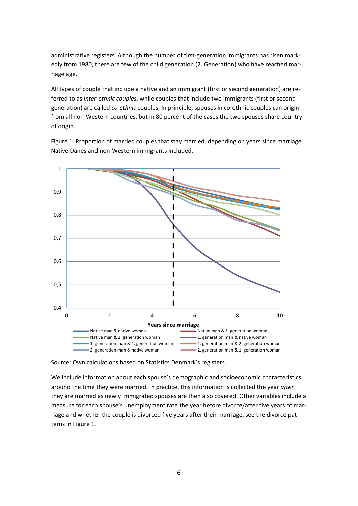administrative registers. Although the number of first-generation immigrants has risen markedly from 1980, there are few of the child generation (2. Generation) who have reached marriage age.

All types of couple that include a native and an immigrant (first or second generation) are referred to as *inter‐ethnic couples*, while couples that include two immigrants (first or second generation) are called *co‐ethnic* couples. In principle, spouses in co‐ethnic couples can origin from all non-Western countries, but in 80 percent of the cases the two spouses share country of origin.

Figure 1. Proportion of married couples that stay married, depending on years since marriage. Native Danes and non‐Western immigrants included.



Source: Own calculations based on Statistics Denmark's registers.

We include information about each spouse's demographic and socioeconomic characteristics around the time they were married. In practice, this information is collected the year *after* they are married as newly immigrated spouses are then also covered. Other variables include a measure for each spouse's unemployment rate the year before divorce/after five years of mar‐ riage and whether the couple is divorced five years after their marriage, see the divorce pat‐ terns in Figure 1.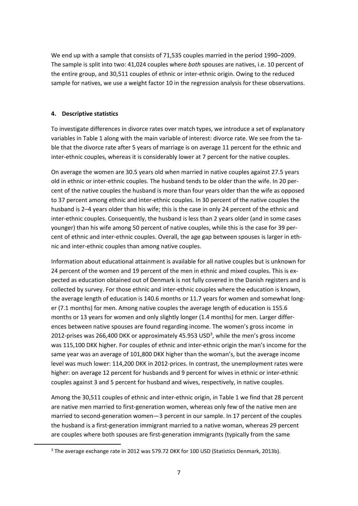We end up with a sample that consists of 71,535 couples married in the period 1990–2009. The sample is split into two: 41,024 couples where *both* spouses are natives, i.e. 10 percent of the entire group, and 30,511 couples of ethnic or inter‐ethnic origin. Owing to the reduced sample for natives, we use a weight factor 10 in the regression analysis for these observations.

#### **4. Descriptive statistics**

To investigate differences in divorce rates over match types, we introduce a set of explanatory variables in Table 1 along with the main variable of interest: divorce rate. We see from the ta‐ ble that the divorce rate after 5 years of marriage is on average 11 percent for the ethnic and inter-ethnic couples, whereas it is considerably lower at 7 percent for the native couples.

On average the women are 30.5 years old when married in native couples against 27.5 years old in ethnic or inter‐ethnic couples. The husband tends to be older than the wife. In 20 per‐ cent of the native couples the husband is more than four years older than the wife as opposed to 37 percent among ethnic and inter-ethnic couples. In 30 percent of the native couples the husband is 2–4 years older than his wife; this is the case in only 24 percent of the ethnic and inter-ethnic couples. Consequently, the husband is less than 2 years older (and in some cases younger) than his wife among 50 percent of native couples, while this is the case for 39 per‐ cent of ethnic and inter‐ethnic couples. Overall, the age gap between spouses is larger in eth‐ nic and inter‐ethnic couples than among native couples.

Information about educational attainment is available for all native couples but is unknown for 24 percent of the women and 19 percent of the men in ethnic and mixed couples. This is ex‐ pected as education obtained out of Denmark is not fully covered in the Danish registers and is collected by survey. For those ethnic and inter‐ethnic couples where the education is known, the average length of education is 140.6 months or 11.7 years for women and somewhat long‐ er (7.1 months) for men. Among native couples the average length of education is 155.6 months or 13 years for women and only slightly longer (1.4 months) for men. Larger differ‐ ences between native spouses are found regarding income. The women's gross income in 2012-prises was 266,400 DKK or approximately 45.953 USD<sup>3</sup>, while the men's gross income was 115,100 DKK higher. For couples of ethnic and inter-ethnic origin the man's income for the same year was an average of 101,800 DKK higher than the woman's, but the average income level was much lower: 114,200 DKK in 2012‐prices. In contrast, the unemployment rates were higher: on average 12 percent for husbands and 9 percent for wives in ethnic or inter-ethnic couples against 3 and 5 percent for husband and wives, respectively, in native couples.

Among the 30,511 couples of ethnic and inter-ethnic origin, in Table 1 we find that 28 percent are native men married to first‐generation women, whereas only few of the native men are married to second-generation women—3 percent in our sample. In 17 percent of the couples the husband is a first-generation immigrant married to a native woman, whereas 29 percent are couples where both spouses are first‐generation immigrants (typically from the same

<sup>&</sup>lt;sup>3</sup> The average exchange rate in 2012 was 579.72 DKK for 100 USD (Statistics Denmark, 2013b).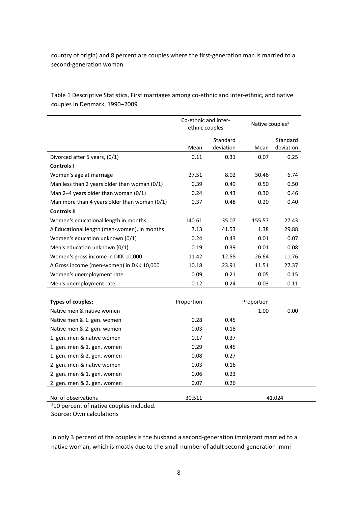country of origin) and 8 percent are couples where the first-generation man is married to a second‐generation woman.

Table 1 Descriptive Statistics, First marriages among co-ethnic and inter-ethnic, and native couples in Denmark, 1990–2009

|                                                | Co-ethnic and inter-<br>ethnic couples |                       | Native couples <sup>1</sup> |                       |
|------------------------------------------------|----------------------------------------|-----------------------|-----------------------------|-----------------------|
|                                                | Mean                                   | Standard<br>deviation | Mean                        | Standard<br>deviation |
| Divorced after 5 years, (0/1)                  | 0.11                                   | 0.31                  | 0.07                        | 0.25                  |
| <b>Controls I</b>                              |                                        |                       |                             |                       |
| Women's age at marriage                        | 27.51                                  | 8.02                  | 30.46                       | 6.74                  |
| Man less than 2 years older than woman $(0/1)$ | 0.39                                   | 0.49                  | 0.50                        | 0.50                  |
| Man 2-4 years older than woman (0/1)           | 0.24                                   | 0.43                  | 0.30                        | 0.46                  |
| Man more than 4 years older than woman (0/1)   | 0.37                                   | 0.48                  | 0.20                        | 0.40                  |
| <b>Controls II</b>                             |                                        |                       |                             |                       |
| Women's educational length in months           | 140.61                                 | 35.07                 | 155.57                      | 27.43                 |
| ∆ Educational length (men-women), in months    | 7.13                                   | 41.53                 | 1.38                        | 29.88                 |
| Women's education unknown (0/1)                | 0.24                                   | 0.43                  | 0.01                        | 0.07                  |
| Men's education unknown (0/1)                  | 0.19                                   | 0.39                  | 0.01                        | 0.08                  |
| Women's gross income in DKK 10,000             | 11.42                                  | 12.58                 | 26.64                       | 11.76                 |
| ∆ Gross income (men-women) in DKK 10,000       | 10.18                                  | 23.91                 | 11.51                       | 27.37                 |
| Women's unemployment rate                      | 0.09                                   | 0.21                  | 0.05                        | 0.15                  |
| Men's unemployment rate                        | 0.12                                   | 0.24                  | 0.03                        | 0.11                  |
|                                                |                                        |                       |                             |                       |
| <b>Types of couples:</b>                       | Proportion                             |                       | Proportion                  |                       |
| Native men & native women                      |                                        |                       | 1.00                        | 0.00                  |
| Native men & 1. gen. women                     | 0.28                                   | 0.45                  |                             |                       |
| Native men & 2. gen. women                     | 0.03                                   | 0.18                  |                             |                       |
| 1. gen. men & native women                     | 0.17                                   | 0.37                  |                             |                       |
| 1. gen. men & 1. gen. women                    | 0.29                                   | 0.45                  |                             |                       |
| 1. gen. men & 2. gen. women                    | 0.08                                   | 0.27                  |                             |                       |
| 2. gen. men & native women                     | 0.03                                   | 0.16                  |                             |                       |
| 2. gen. men & 1. gen. women                    | 0.06                                   | 0.23                  |                             |                       |
| 2. gen. men & 2. gen. women                    | 0.07                                   | 0.26                  |                             |                       |
| No. of observations                            | 30,511                                 |                       |                             | 41,024                |

<sup>1</sup>10 percent of native couples included.

Source: Own calculations

In only 3 percent of the couples is the husband a second-generation immigrant married to a native woman, which is mostly due to the small number of adult second-generation immi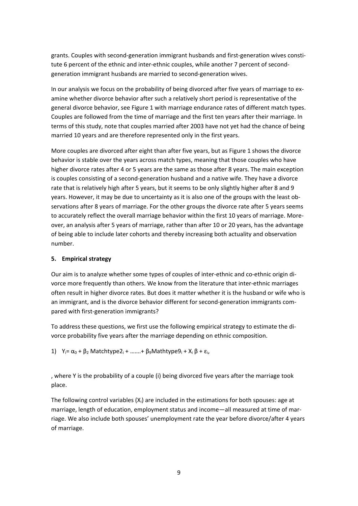grants. Couples with second-generation immigrant husbands and first-generation wives constitute 6 percent of the ethnic and inter-ethnic couples, while another 7 percent of secondgeneration immigrant husbands are married to second‐generation wives.

In our analysis we focus on the probability of being divorced after five years of marriage to ex‐ amine whether divorce behavior after such a relatively short period is representative of the general divorce behavior, see Figure 1 with marriage endurance rates of different match types. Couples are followed from the time of marriage and the first ten years after their marriage. In terms of this study, note that couples married after 2003 have not yet had the chance of being married 10 years and are therefore represented only in the first years.

More couples are divorced after eight than after five years, but as Figure 1 shows the divorce behavior is stable over the years across match types, meaning that those couples who have higher divorce rates after 4 or 5 years are the same as those after 8 years. The main exception is couples consisting of a second‐generation husband and a native wife. They have a divorce rate that is relatively high after 5 years, but it seems to be only slightly higher after 8 and 9 years. However, it may be due to uncertainty as it is also one of the groups with the least ob‐ servations after 8 years of marriage. For the other groups the divorce rate after 5 years seems to accurately reflect the overall marriage behavior within the first 10 years of marriage. More‐ over, an analysis after 5 years of marriage, rather than after 10 or 20 years, has the advantage of being able to include later cohorts and thereby increasing both actuality and observation number.

#### **5. Empirical strategy**

Our aim is to analyze whether some types of couples of inter-ethnic and co-ethnic origin divorce more frequently than others. We know from the literature that inter‐ethnic marriages often result in higher divorce rates. But does it matter whether it is the husband or wife who is an immigrant, and is the divorce behavior different for second-generation immigrants compared with first‐generation immigrants?

To address these questions, we first use the following empirical strategy to estimate the di‐ vorce probability five years after the marriage depending on ethnic composition.

1)  $Y_i = \alpha_0 + \beta_2$  Matchtype2<sub>i</sub> + …….+  $\beta_9$ Mathtype9<sub>i</sub> + X<sub>i</sub>  $\beta$  +  $\varepsilon_i$ ,

, where Y is the probability of a couple (i) being divorced five years after the marriage took place.

The following control variables  $(X_i)$  are included in the estimations for both spouses: age at marriage, length of education, employment status and income—all measured at time of mar‐ riage. We also include both spouses' unemployment rate the year before divorce/after 4 years of marriage.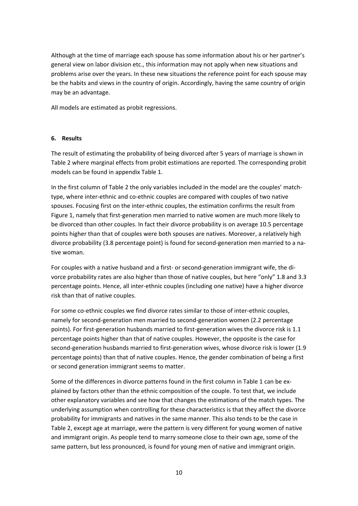Although at the time of marriage each spouse has some information about his or her partner's general view on labor division etc., this information may not apply when new situations and problems arise over the years. In these new situations the reference point for each spouse may be the habits and views in the country of origin. Accordingly, having the same country of origin may be an advantage.

All models are estimated as probit regressions.

#### **6. Results**

The result of estimating the probability of being divorced after 5 years of marriage is shown in Table 2 where marginal effects from probit estimations are reported. The corresponding probit models can be found in appendix Table 1.

In the first column of Table 2 the only variables included in the model are the couples' match‐ type, where inter‐ethnic and co‐ethnic couples are compared with couples of two native spouses. Focusing first on the inter-ethnic couples, the estimation confirms the result from Figure 1, namely that first-generation men married to native women are much more likely to be divorced than other couples. In fact their divorce probability is on average 10.5 percentage points higher than that of couples were both spouses are natives. Moreover, a relatively high divorce probability (3.8 percentage point) is found for second‐generation men married to a na‐ tive woman.

For couples with a native husband and a first- or second-generation immigrant wife, the divorce probability rates are also higher than those of native couples, but here "only" 1.8 and 3.3 percentage points. Hence, all inter‐ethnic couples (including one native) have a higher divorce risk than that of native couples.

For some co-ethnic couples we find divorce rates similar to those of inter-ethnic couples, namely for second‐generation men married to second‐generation women (2.2 percentage points). For first-generation husbands married to first-generation wives the divorce risk is 1.1 percentage points higher than that of native couples. However, the opposite is the case for second-generation husbands married to first-generation wives, whose divorce risk is lower (1.9 percentage points) than that of native couples. Hence, the gender combination of being a first or second generation immigrant seems to matter.

Some of the differences in divorce patterns found in the first column in Table 1 can be ex‐ plained by factors other than the ethnic composition of the couple. To test that, we include other explanatory variables and see how that changes the estimations of the match types. The underlying assumption when controlling for these characteristics is that they affect the divorce probability for immigrants and natives in the same manner. This also tends to be the case in Table 2, except age at marriage, were the pattern is very different for young women of native and immigrant origin. As people tend to marry someone close to their own age, some of the same pattern, but less pronounced, is found for young men of native and immigrant origin.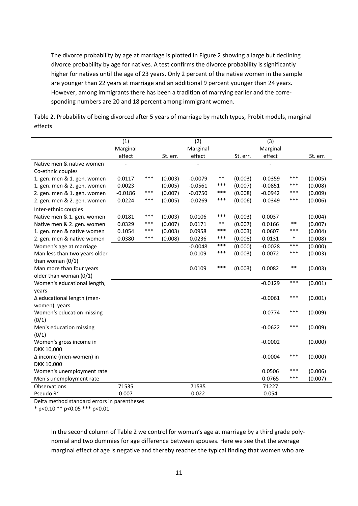The divorce probability by age at marriage is plotted in Figure 2 showing a large but declining divorce probability by age for natives. A test confirms the divorce probability is significantly higher for natives until the age of 23 years. Only 2 percent of the native women in the sample are younger than 22 years at marriage and an additional 9 percent younger than 24 years. However, among immigrants there has been a tradition of marrying earlier and the corre‐ sponding numbers are 20 and 18 percent among immigrant women.

| Table 2. Probability of being divorced after 5 years of marriage by match types, Probit models, marginal |  |
|----------------------------------------------------------------------------------------------------------|--|
| effects                                                                                                  |  |

|                               | (1)       |       |          | (2)       |       |          | (3)       |        |          |
|-------------------------------|-----------|-------|----------|-----------|-------|----------|-----------|--------|----------|
|                               | Marginal  |       |          | Marginal  |       |          | Marginal  |        |          |
|                               | effect    |       | St. err. | effect    |       | St. err. | effect    |        | St. err. |
| Native men & native women     |           |       |          |           |       |          |           |        |          |
| Co-ethnic couples             |           |       |          |           |       |          |           |        |          |
| 1. gen. men & 1. gen. women   | 0.0117    | ***   | (0.003)  | $-0.0079$ | $***$ | (0.003)  | $-0.0359$ | ***    | (0.005)  |
| 1. gen. men & 2. gen. women   | 0.0023    |       | (0.005)  | $-0.0561$ | ***   | (0.007)  | $-0.0851$ | ***    | (0.008)  |
| 2. gen. men & 1. gen. women   | $-0.0186$ | ***   | (0.007)  | $-0.0750$ | ***   | (0.008)  | $-0.0942$ | ***    | (0.009)  |
| 2. gen. men & 2. gen. women   | 0.0224    | ***   | (0.005)  | $-0.0269$ | ***   | (0.006)  | $-0.0349$ | ***    | (0.006)  |
| Inter-ethnic couples          |           |       |          |           |       |          |           |        |          |
| Native men & 1. gen. women    | 0.0181    | $***$ | (0.003)  | 0.0106    | ***   | (0.003)  | 0.0037    |        | (0.004)  |
| Native men & 2. gen. women    | 0.0329    | ***   | (0.007)  | 0.0171    | $***$ | (0.007)  | 0.0166    | $***$  | (0.007)  |
| 1. gen. men & native women    | 0.1054    | ***   | (0.003)  | 0.0958    | ***   | (0.003)  | 0.0607    | ***    | (0.004)  |
| 2. gen. men & native women    | 0.0380    | $***$ | (0.008)  | 0.0236    | ***   | (0.008)  | 0.0131    | $\ast$ | (0.008)  |
| Women's age at marriage       |           |       |          | $-0.0048$ | $***$ | (0.000)  | $-0.0028$ | $***$  | (0.000)  |
| Man less than two years older |           |       |          | 0.0109    | ***   | (0.003)  | 0.0072    | ***    | (0.003)  |
| than woman $(0/1)$            |           |       |          |           |       |          |           |        |          |
| Man more than four years      |           |       |          | 0.0109    | ***   | (0.003)  | 0.0082    | $***$  | (0.003)  |
| older than woman (0/1)        |           |       |          |           |       |          |           |        |          |
| Women's educational length,   |           |       |          |           |       |          | $-0.0129$ | $***$  | (0.001)  |
| years                         |           |       |          |           |       |          |           |        |          |
| ∆ educational length (men-    |           |       |          |           |       |          | $-0.0061$ | ***    | (0.001)  |
| women), years                 |           |       |          |           |       |          |           |        |          |
| Women's education missing     |           |       |          |           |       |          | $-0.0774$ | ***    | (0.009)  |
| (0/1)                         |           |       |          |           |       |          |           |        |          |
| Men's education missing       |           |       |          |           |       |          | $-0.0622$ | ***    | (0.009)  |
| (0/1)                         |           |       |          |           |       |          |           |        |          |
| Women's gross income in       |           |       |          |           |       |          | $-0.0002$ |        | (0.000)  |
| DKK 10,000                    |           |       |          |           |       |          |           |        |          |
| Δ income (men-women) in       |           |       |          |           |       |          | $-0.0004$ | ***    | (0.000)  |
| DKK 10,000                    |           |       |          |           |       |          |           |        |          |
| Women's unemployment rate     |           |       |          |           |       |          | 0.0506    | ***    | (0.006)  |
| Men's unemployment rate       |           |       |          |           |       |          | 0.0765    | ***    | (0.007)  |
| Observations                  | 71535     |       |          | 71535     |       |          | 71227     |        |          |
| Pseudo R <sup>2</sup>         | 0.007     |       |          | 0.022     |       |          | 0.054     |        |          |

Delta method standard errors in parentheses

\* p<0.10 \*\* p<0.05 \*\*\* p<0.01

In the second column of Table 2 we control for women's age at marriage by a third grade poly‐ nomial and two dummies for age difference between spouses. Here we see that the average marginal effect of age is negative and thereby reaches the typical finding that women who are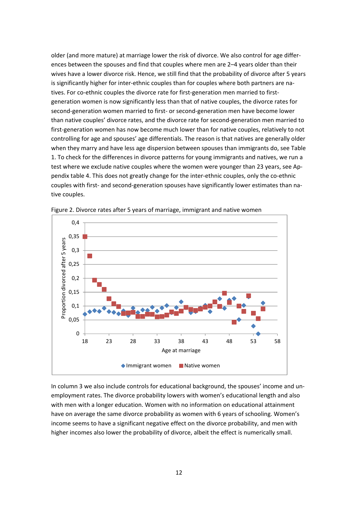older (and more mature) at marriage lower the risk of divorce. We also control for age differ‐ ences between the spouses and find that couples where men are 2–4 years older than their wives have a lower divorce risk. Hence, we still find that the probability of divorce after 5 years is significantly higher for inter-ethnic couples than for couples where both partners are natives. For co-ethnic couples the divorce rate for first-generation men married to firstgeneration women is now significantly less than that of native couples, the divorce rates for second‐generation women married to first‐ or second‐generation men have become lower than native couples' divorce rates, and the divorce rate for second‐generation men married to first-generation women has now become much lower than for native couples, relatively to not controlling for age and spouses' age differentials. The reason is that natives are generally older when they marry and have less age dispersion between spouses than immigrants do, see Table 1. To check for the differences in divorce patterns for young immigrants and natives, we run a test where we exclude native couples where the women were younger than 23 years, see Ap‐ pendix table 4. This does not greatly change for the inter-ethnic couples, only the co-ethnic couples with first‐ and second‐generation spouses have significantly lower estimates than na‐ tive couples.



Figure 2. Divorce rates after 5 years of marriage, immigrant and native women

In column 3 we also include controls for educational background, the spouses' income and un‐ employment rates. The divorce probability lowers with women's educational length and also with men with a longer education. Women with no information on educational attainment have on average the same divorce probability as women with 6 years of schooling. Women's income seems to have a significant negative effect on the divorce probability, and men with higher incomes also lower the probability of divorce, albeit the effect is numerically small.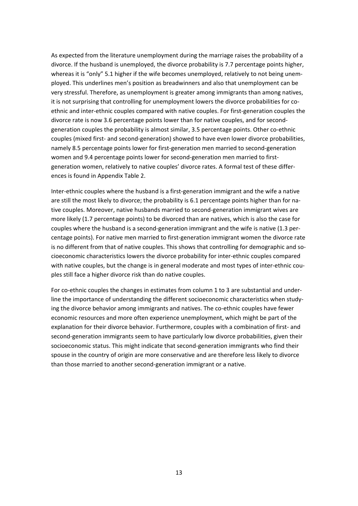As expected from the literature unemployment during the marriage raises the probability of a divorce. If the husband is unemployed, the divorce probability is 7.7 percentage points higher, whereas it is "only" 5.1 higher if the wife becomes unemployed, relatively to not being unemployed. This underlines men's position as breadwinners and also that unemployment can be very stressful. Therefore, as unemployment is greater among immigrants than among natives, it is not surprising that controlling for unemployment lowers the divorce probabilities for coethnic and inter‐ethnic couples compared with native couples. For first‐generation couples the divorce rate is now 3.6 percentage points lower than for native couples, and for second‐ generation couples the probability is almost similar, 3.5 percentage points. Other co‐ethnic couples (mixed first‐ and second‐generation) showed to have even lower divorce probabilities, namely 8.5 percentage points lower for first-generation men married to second-generation women and 9.4 percentage points lower for second-generation men married to firstgeneration women, relatively to native couples' divorce rates. A formal test of these differ‐ ences is found in Appendix Table 2.

Inter-ethnic couples where the husband is a first-generation immigrant and the wife a native are still the most likely to divorce; the probability is 6.1 percentage points higher than for native couples. Moreover, native husbands married to second‐generation immigrant wives are more likely (1.7 percentage points) to be divorced than are natives, which is also the case for couples where the husband is a second‐generation immigrant and the wife is native (1.3 per‐ centage points). For native men married to first‐generation immigrant women the divorce rate is no different from that of native couples. This shows that controlling for demographic and socioeconomic characteristics lowers the divorce probability for inter‐ethnic couples compared with native couples, but the change is in general moderate and most types of inter-ethnic couples still face a higher divorce risk than do native couples.

For co-ethnic couples the changes in estimates from column 1 to 3 are substantial and underline the importance of understanding the different socioeconomic characteristics when study‐ ing the divorce behavior among immigrants and natives. The co-ethnic couples have fewer economic resources and more often experience unemployment, which might be part of the explanation for their divorce behavior. Furthermore, couples with a combination of first- and second-generation immigrants seem to have particularly low divorce probabilities, given their socioeconomic status. This might indicate that second-generation immigrants who find their spouse in the country of origin are more conservative and are therefore less likely to divorce than those married to another second‐generation immigrant or a native.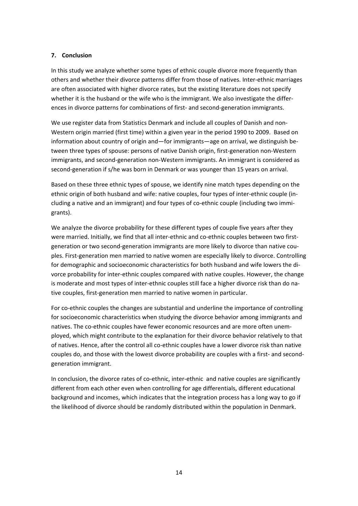#### **7. Conclusion**

In this study we analyze whether some types of ethnic couple divorce more frequently than others and whether their divorce patterns differ from those of natives. Inter‐ethnic marriages are often associated with higher divorce rates, but the existing literature does not specify whether it is the husband or the wife who is the immigrant. We also investigate the differences in divorce patterns for combinations of first- and second-generation immigrants.

We use register data from Statistics Denmark and include all couples of Danish and non‐ Western origin married (first time) within a given year in the period 1990 to 2009. Based on information about country of origin and—for immigrants—age on arrival, we distinguish be‐ tween three types of spouse: persons of native Danish origin, first‐generation non‐Western immigrants, and second‐generation non‐Western immigrants. An immigrant is considered as second-generation if s/he was born in Denmark or was younger than 15 years on arrival.

Based on these three ethnic types of spouse, we identify nine match types depending on the ethnic origin of both husband and wife: native couples, four types of inter-ethnic couple (including a native and an immigrant) and four types of co-ethnic couple (including two immigrants).

We analyze the divorce probability for these different types of couple five years after they were married. Initially, we find that all inter-ethnic and co-ethnic couples between two firstgeneration or two second-generation immigrants are more likely to divorce than native couples. First-generation men married to native women are especially likely to divorce. Controlling for demographic and socioeconomic characteristics for both husband and wife lowers the di‐ vorce probability for inter-ethnic couples compared with native couples. However, the change is moderate and most types of inter‐ethnic couples still face a higher divorce risk than do na‐ tive couples, first‐generation men married to native women in particular.

For co-ethnic couples the changes are substantial and underline the importance of controlling for socioeconomic characteristics when studying the divorce behavior among immigrants and natives. The co‐ethnic couples have fewer economic resources and are more often unem‐ ployed, which might contribute to the explanation for their divorce behavior relatively to that of natives. Hence, after the control all co‐ethnic couples have a lower divorce risk than native couples do, and those with the lowest divorce probability are couples with a first- and secondgeneration immigrant.

In conclusion, the divorce rates of co-ethnic, inter-ethnic and native couples are significantly different from each other even when controlling for age differentials, different educational background and incomes, which indicates that the integration process has a long way to go if the likelihood of divorce should be randomly distributed within the population in Denmark.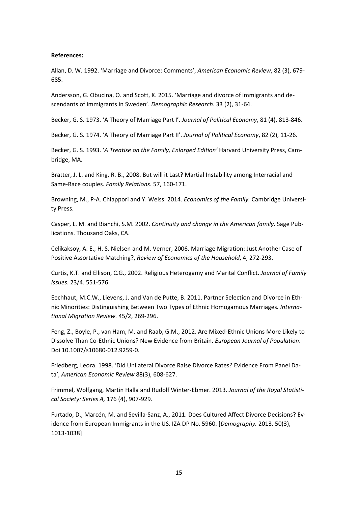#### **References:**

Allan, D. W. 1992. 'Marriage and Divorce: Comments', *American Economic Review*, 82 (3), 679‐ 685.

Andersson, G. Obucina, O. and Scott, K. 2015. 'Marriage and divorce of immigrants and de‐ scendants of immigrants in Sweden'. *Demographic Research*. 33 (2), 31‐64.

Becker, G. S. 1973. 'A Theory of Marriage Part I'. *Journal of Political Economy*, 81 (4), 813‐846.

Becker, G. S. 1974. 'A Theory of Marriage Part II'. *Journal of Political Economy*, 82 (2), 11‐26.

Becker, G. S. 1993. '*A Treatise on the Family, Enlarged Edition'* Harvard University Press, Cam‐ bridge, MA.

Bratter, J. L. and King, R. B., 2008. But will it Last? Martial Instability among Interracial and Same‐Race couples*. Family Relations*. 57, 160‐171.

Browning, M., P‐A. Chiappori and Y. Weiss. 2014. *Economics of the Family.* Cambridge Universi‐ ty Press.

Casper, L. M. and Bianchi, S.M. 2002. *Continuity and change in the American family*. Sage Pub‐ lications. Thousand Oaks, CA.

Celikaksoy, A. E., H. S. Nielsen and M. Verner, 2006. Marriage Migration: Just Another Case of Positive Assortative Matching?, *Review of Economics of the Household*, 4, 272‐293.

Curtis, K.T. and Ellison, C.G., 2002. Religious Heterogamy and Marital Conflict. *Journal of Family Issues*. 23/4. 551‐576.

Eechhaut, M.C.W., Lievens, J. and Van de Putte, B. 2011. Partner Selection and Divorce in Eth‐ nic Minorities: Distinguishing Between Two Types of Ethnic Homogamous Marriages*. Interna‐ tional Migration Review.* 45/2, 269‐296.

Feng, Z., Boyle, P., van Ham, M. and Raab, G.M., 2012. Are Mixed‐Ethnic Unions More Likely to Dissolve Than Co‐Ethnic Unions? New Evidence from Britain. *European Journal of Population*. Doi 10.1007/s10680‐012.9259‐0.

Friedberg, Leora. 1998. 'Did Unilateral Divorce Raise Divorce Rates? Evidence From Panel Da‐ ta', *American Economic Review* 88(3), 608‐627.

Frimmel, Wolfgang, Martin Halla and Rudolf Winter‐Ebmer. 2013. *Journal of the Royal Statisti‐ cal Society: Series A,* 176 (4), 907‐929.

Furtado, D., Marcén, M. and Sevilla‐Sanz, A., 2011. Does Cultured Affect Divorce Decisions? Ev‐ idence from European Immigrants in the US. IZA DP No. 5960. [*Demography.* 2013. 50(3), 1013‐1038]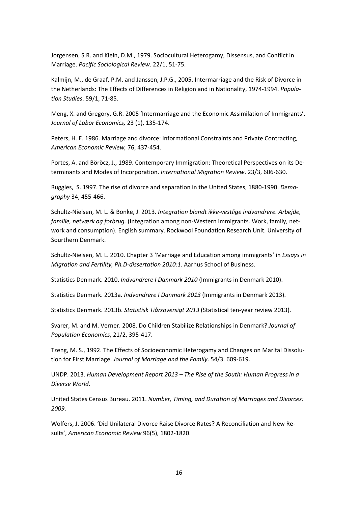Jorgensen, S.R. and Klein, D.M., 1979. Sociocultural Heterogamy, Dissensus, and Conflict in Marriage. *Pacific Sociological Review*. 22/1, 51‐75.

Kalmijn, M., de Graaf, P.M. and Janssen, J.P.G., 2005. Intermarriage and the Risk of Divorce in the Netherlands: The Effects of Differences in Religion and in Nationality, 1974‐1994. *Popula‐ tion Studies*. 59/1, 71‐85.

Meng, X. and Gregory, G.R. 2005 'Intermarriage and the Economic Assimilation of Immigrants'. *Journal of Labor Economics,* 23 (1), 135‐174.

Peters, H. E. 1986. Marriage and divorce: Informational Constraints and Private Contracting, *American Economic Review,* 76, 437‐454.

Portes, A. and Böröcz, J., 1989. Contemporary Immigration: Theoretical Perspectives on its De‐ terminants and Modes of Incorporation. *International Migration Review*. 23/3, 606‐630.

Ruggles, S. 1997. The rise of divorce and separation in the United States, 1880‐1990. *Demo‐ graphy* 34, 455‐466.

Schultz‐Nielsen, M. L. & Bonke, J. 2013. *Integration blandt ikke‐vestlige indvandrere. Arbejde, familie, netværk og forbrug.* (Integration among non‐Western immigrants. Work, family, net‐ work and consumption). English summary. Rockwool Foundation Research Unit. University of Sourthern Denmark.

Schultz‐Nielsen, M. L. 2010. Chapter 3 'Marriage and Education among immigrants' in *Essays in Migration and Fertility, Ph.D‐dissertation 2010:1.* Aarhus School of Business.

Statistics Denmark. 2010. *Indvandrere I Danmark 2010* (Immigrants in Denmark 2010).

Statistics Denmark. 2013a. *Indvandrere I Danmark 2013* (Immigrants in Denmark 2013).

Statistics Denmark. 2013b. *Statistisk Tiårsoversigt 2013* (Statistical ten‐year review 2013).

Svarer, M. and M. Verner. 2008. Do Children Stabilize Relationships in Denmark? *Journal of Population Economics*, 21/2, 395‐417.

Tzeng, M. S., 1992. The Effects of Socioeconomic Heterogamy and Changes on Marital Dissolu‐ tion for First Marriage. *Journal of Marriage and the Family*. 54/3. 609‐619.

UNDP. 2013. *Human Development Report 2013 – The Rise of the South: Human Progress in a Diverse World.*

United States Census Bureau. 2011. *Number, Timing, and Duration of Marriages and Divorces: 2009*.

Wolfers, J. 2006. 'Did Unilateral Divorce Raise Divorce Rates? A Reconciliation and New Re‐ sults', *American Economic Review* 96(5), 1802‐1820.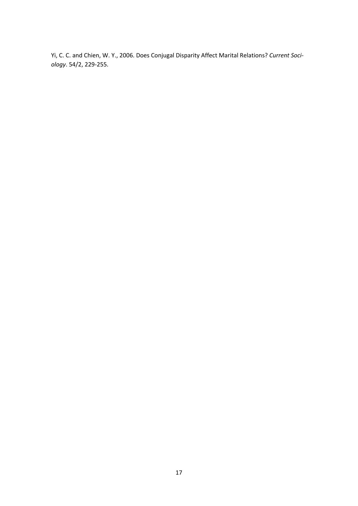Yi, C. C. and Chien, W. Y., 2006. Does Conjugal Disparity Affect Marital Relations? *Current Soci‐ ology*. 54/2, 229‐255.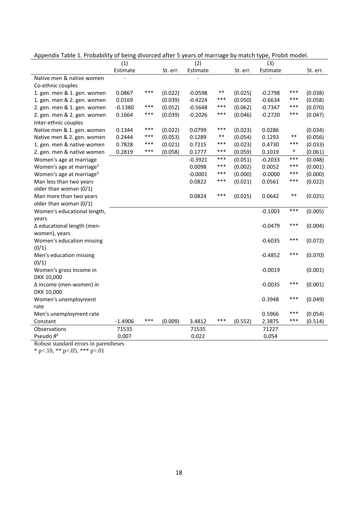|                                      | (1)       |       |          | (2)       |       |          | (3)       |        |          |
|--------------------------------------|-----------|-------|----------|-----------|-------|----------|-----------|--------|----------|
|                                      | Estimate  |       | St. err. | Estimate  |       | St. err. | Estimate  |        | St. err. |
| Native men & native women            |           |       |          |           |       |          |           |        |          |
| Co-ethnic couples                    |           |       |          |           |       |          |           |        |          |
| 1. gen. men & 1. gen. women          | 0.0867    | $***$ | (0.022)  | $-0.0598$ | $***$ | (0.025)  | $-0.2798$ | ***    | (0.038)  |
| 1. gen. men & 2. gen. women          | 0.0169    |       | (0.039)  | $-0.4224$ | ***   | (0.050)  | $-0.6634$ | ***    | (0.058)  |
| 2. gen. men & 1. gen. women          | $-0.1380$ | ***   | (0.052)  | $-0.5648$ | ***   | (0.062)  | $-0.7347$ | ***    | (0.070)  |
| 2. gen. men & 2. gen. women          | 0.1664    | ***   | (0.039)  | $-0.2026$ | ***   | (0.046)  | $-0.2720$ | ***    | (0.047)  |
| Inter-ethnic couples                 |           |       |          |           |       |          |           |        |          |
| Native men & 1. gen. women           | 0.1344    | ***   | (0.022)  | 0.0799    | ***   | (0.023)  | 0.0286    |        | (0.034)  |
| Native men & 2. gen. women           | 0.2444    | $***$ | (0.053)  | 0.1289    | $***$ | (0.054)  | 0.1293    | $***$  | (0.056)  |
| 1. gen. men & native women           | 0.7828    | $***$ | (0.021)  | 0.7215    | ***   | (0.023)  | 0.4730    | ***    | (0.033)  |
| 2. gen. men & native women           | 0.2819    | ***   | (0.058)  | 0.1777    | ***   | (0.059)  | 0.1019    | $\ast$ | (0.061)  |
| Women's age at marriage              |           |       |          | $-0.3921$ | ***   | (0.051)  | $-0.2033$ | ***    | (0.048)  |
| Women's age at marriage <sup>2</sup> |           |       |          | 0.0098    | ***   | (0.002)  | 0.0052    | ***    | (0.001)  |
| Women's age at marriage <sup>3</sup> |           |       |          | $-0.0001$ | ***   | (0.000)  | $-0.0000$ | ***    | (0.000)  |
| Man less than two years              |           |       |          | 0.0822    | ***   | (0.021)  | 0.0561    | ***    | (0.022)  |
| older than woman (0/1)               |           |       |          |           |       |          |           |        |          |
| Man more than two years              |           |       |          | 0.0824    | ***   | (0.025)  | 0.0642    | $***$  | (0.025)  |
| older than woman (0/1)               |           |       |          |           |       |          |           |        |          |
| Women's educational length,          |           |       |          |           |       |          | $-0.1003$ | ***    | (0.005)  |
| years                                |           |       |          |           |       |          |           |        |          |
| ∆ educational length (men-           |           |       |          |           |       |          | $-0.0479$ | ***    | (0.004)  |
| women), years                        |           |       |          |           |       |          |           |        |          |
| Women's education missing            |           |       |          |           |       |          | $-0.6035$ | $***$  | (0.072)  |
| (0/1)                                |           |       |          |           |       |          |           |        |          |
| Men's education missing              |           |       |          |           |       |          | $-0.4852$ | $***$  | (0.070)  |
| (0/1)                                |           |       |          |           |       |          |           |        |          |
| Women's gross income in              |           |       |          |           |       |          | $-0.0019$ |        | (0.001)  |
| DKK 10,000                           |           |       |          |           |       |          |           |        |          |
| ∆ income (men-women) in              |           |       |          |           |       |          | $-0.0035$ | ***    | (0.001)  |
| DKK 10,000                           |           |       |          |           |       |          |           |        |          |
| Women's unemployment                 |           |       |          |           |       |          | 0.3948    | ***    | (0.049)  |
| rate                                 |           |       |          |           |       |          |           |        |          |
| Men's unemployment rate              |           |       |          |           |       |          | 0.5966    | ***    | (0.054)  |
| Constant                             | $-1.4906$ | $***$ | (0.009)  | 3.4812    | ***   | (0.552)  | 2.3875    | $***$  | (0.514)  |
| Observations                         | 71535     |       |          | 71535     |       |          | 71227     |        |          |
| Pseudo $R^2$                         | 0.007     |       |          | 0.022     |       |          | 0.054     |        |          |

Appendix Table 1. Probability of being divorced after 5 years of marriage by match type, Probit model.

Robust standard errors in parentheses

 $*$  p<.10,  $*$  p <.05,  $*$  p <.01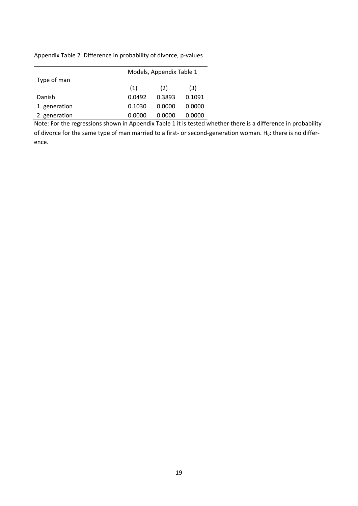Appendix Table 2. Difference in probability of divorce, p‐values

|               | Models, Appendix Table 1 |        |        |  |  |  |  |  |
|---------------|--------------------------|--------|--------|--|--|--|--|--|
| Type of man   |                          |        |        |  |  |  |  |  |
|               | (1)                      | (2)    | (3)    |  |  |  |  |  |
| Danish        | 0.0492                   | 0.3893 | 0.1091 |  |  |  |  |  |
| 1. generation | 0.1030                   | 0.0000 | 0.0000 |  |  |  |  |  |
| 2. generation | 0.0000                   | 0.0000 | 0.0000 |  |  |  |  |  |

Note: For the regressions shown in Appendix Table 1 it is tested whether there is a difference in probability of divorce for the same type of man married to a first- or second-generation woman. H<sub>0</sub>: there is no difference.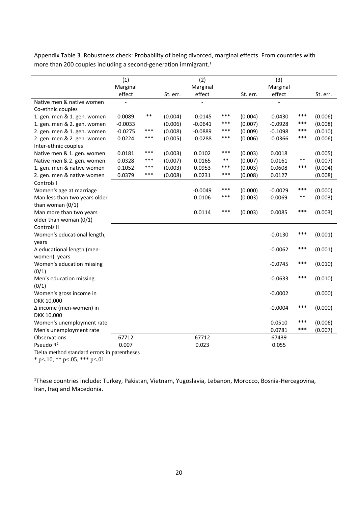Appendix Table 3. Robustness check: Probability of being divorced, marginal effects. From countries with more than 200 couples including a second-generation immigrant.<sup>1</sup>

|                               | (1)                |       |          | (2)                |       |          | (3)                |       |          |
|-------------------------------|--------------------|-------|----------|--------------------|-------|----------|--------------------|-------|----------|
|                               | Marginal<br>effect |       | St. err. | Marginal<br>effect |       | St. err. | Marginal<br>effect |       | St. err. |
| Native men & native women     |                    |       |          |                    |       |          |                    |       |          |
| Co-ethnic couples             |                    |       |          |                    |       |          |                    |       |          |
| 1. gen. men & 1. gen. women   | 0.0089             | $***$ | (0.004)  | $-0.0145$          | $***$ | (0.004)  | $-0.0430$          | ***   | (0.006)  |
| 1. gen. men & 2. gen. women   | $-0.0033$          |       | (0.006)  | $-0.0641$          | $***$ | (0.007)  | $-0.0928$          | ***   | (0.008)  |
| 2. gen. men & 1. gen. women   | $-0.0275$          | ***   | (0.008)  | $-0.0889$          | $***$ | (0.009)  | $-0.1098$          | ***   | (0.010)  |
| 2. gen. men & 2. gen. women   | 0.0224             | ***   | (0.005)  | $-0.0288$          | $***$ | (0.006)  | $-0.0366$          | ***   | (0.006)  |
| Inter-ethnic couples          |                    |       |          |                    |       |          |                    |       |          |
| Native men & 1. gen. women    | 0.0181             | $***$ | (0.003)  | 0.0102             | $***$ | (0.003)  | 0.0018             |       | (0.005)  |
| Native men & 2. gen. women    | 0.0328             | ***   | (0.007)  | 0.0165             | $***$ | (0.007)  | 0.0161             | $***$ | (0.007)  |
| 1. gen. men & native women    | 0.1052             | ***   | (0.003)  | 0.0953             | ***   | (0.003)  | 0.0608             | ***   | (0.004)  |
| 2. gen. men & native women    | 0.0379             | ***   | (0.008)  | 0.0231             | ***   | (0.008)  | 0.0127             |       | (0.008)  |
| Controls I                    |                    |       |          |                    |       |          |                    |       |          |
| Women's age at marriage       |                    |       |          | $-0.0049$          | ***   | (0.000)  | $-0.0029$          | ***   | (0.000)  |
| Man less than two years older |                    |       |          | 0.0106             | ***   | (0.003)  | 0.0069             | **    | (0.003)  |
| than woman $(0/1)$            |                    |       |          |                    |       |          |                    |       |          |
| Man more than two years       |                    |       |          | 0.0114             | $***$ | (0.003)  | 0.0085             | ***   | (0.003)  |
| older than woman (0/1)        |                    |       |          |                    |       |          |                    |       |          |
| Controls II                   |                    |       |          |                    |       |          |                    |       |          |
| Women's educational length,   |                    |       |          |                    |       |          | $-0.0130$          | ***   | (0.001)  |
| years                         |                    |       |          |                    |       |          |                    |       |          |
| ∆ educational length (men-    |                    |       |          |                    |       |          | $-0.0062$          | ***   | (0.001)  |
| women), years                 |                    |       |          |                    |       |          |                    |       |          |
| Women's education missing     |                    |       |          |                    |       |          | $-0.0745$          | ***   | (0.010)  |
| (0/1)                         |                    |       |          |                    |       |          |                    |       |          |
| Men's education missing       |                    |       |          |                    |       |          | $-0.0633$          | ***   | (0.010)  |
| (0/1)                         |                    |       |          |                    |       |          |                    |       |          |
| Women's gross income in       |                    |       |          |                    |       |          | $-0.0002$          |       | (0.000)  |
| DKK 10,000                    |                    |       |          |                    |       |          |                    |       |          |
| ∆ income (men-women) in       |                    |       |          |                    |       |          | $-0.0004$          | ***   | (0.000)  |
| DKK 10,000                    |                    |       |          |                    |       |          |                    |       |          |
| Women's unemployment rate     |                    |       |          |                    |       |          | 0.0510             | ***   | (0.006)  |
| Men's unemployment rate       |                    |       |          |                    |       |          | 0.0781             | ***   | (0.007)  |
| Observations                  | 67712              |       |          | 67712              |       |          | 67439              |       |          |
| Pseudo R <sup>2</sup>         | 0.007              |       |          | 0.023              |       |          | 0.055              |       |          |

Delta method standard errors in parentheses

 $*$  p<.10,  $*$  p <.05,  $*$  p <.01

<sup>1</sup>These countries include: Turkey, Pakistan, Vietnam, Yugoslavia, Lebanon, Morocco, Bosnia-Hercegovina, Iran, Iraq and Macedonia.